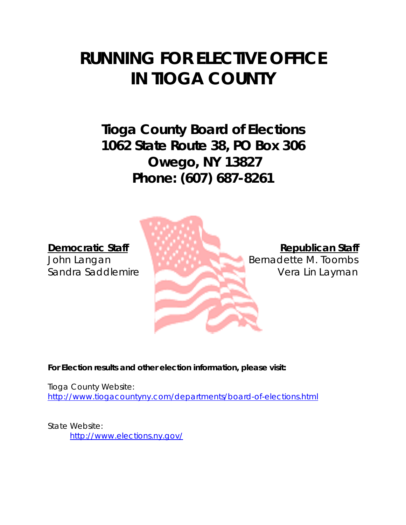# **RUNNING FOR ELECTIVE OFFICE IN TIOGA COUNTY**

**Tioga County Board of Elections 1062 State Route 38, PO Box 306 Owego, NY 13827 Phone: (607) 687-8261**



**For Election results and other election information, please visit:**

Tioga County Website: <http://www.tiogacountyny.com/departments/board-of-elections.html>

State Website: <http://www.elections.ny.gov/>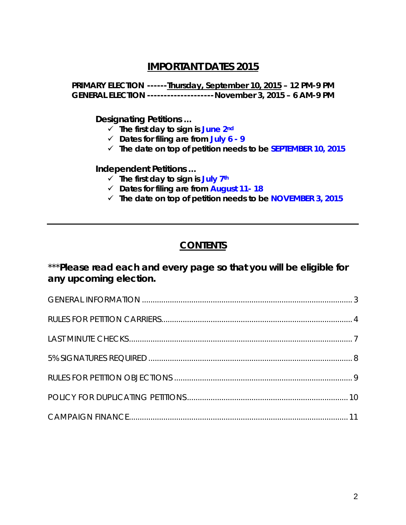# **IMPORTANT DATES 2015**

**PRIMARY ELECTION ------Thursday, September 10, 2015 – 12 PM-9 PM GENERAL ELECTION --------------------November 3, 2015 – 6 AM-9 PM**

**Designating Petitions …**

- **The first day to sign is June 2nd**
- **Dates for filing are from July 6 - 9**
- **The date on top of petition needs to be SEPTEMBER 10, 2015**

**Independent Petitions …**

- $\checkmark$  The first day to sign is July 7<sup>th</sup>
- **Dates for filing are from August 11- 18**
- **The date on top of petition needs to be NOVEMBER 3, 2015**

# **CONTENTS**

# \*\*\***Please read each and every page so that you will be eligible for any upcoming election.**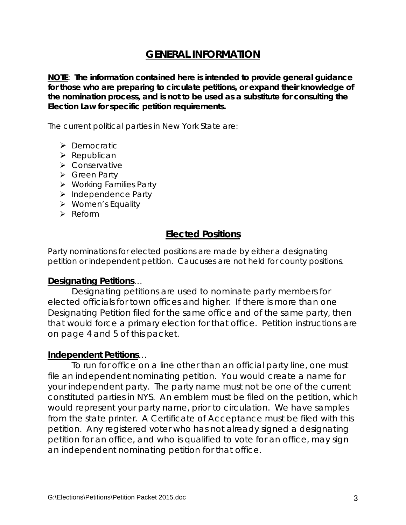# **GENERAL INFORMATION**

**NOTE**: **The information contained here is intended to provide general guidance for those who are preparing to circulate petitions, or expand their knowledge of the nomination process, and is not to be used as a substitute for consulting the Election Law for specific petition requirements.**

The current political parties in New York State are:

- > Democratic
- $\triangleright$  Republican
- Conservative
- Green Party
- Working Families Party
- $\triangleright$  Independence Party
- Women's Equality
- $\triangleright$  Reform

## **Elected Positions**

Party nominations for elected positions are made by either a designating petition or independent petition. Caucuses are not held for county positions.

#### **Designating Petitions**…

Designating petitions are used to nominate party members for elected officials for town offices and higher. If there is more than one Designating Petition filed for the same office and of the same party, then that would force a primary election for that office. Petition instructions are on page 4 and 5 of this packet.

#### **Independent Petitions**…

To run for office on a line other than an official party line, one must file an independent nominating petition. You would create a name for your independent party. The party name must not be one of the current constituted parties in NYS. An emblem must be filed on the petition, which would represent your party name, prior to circulation. We have samples from the state printer. A Certificate of Acceptance must be filed with this petition. Any registered voter who has not already signed a designating petition for an office, and who is qualified to vote for an office, may sign an independent nominating petition for that office.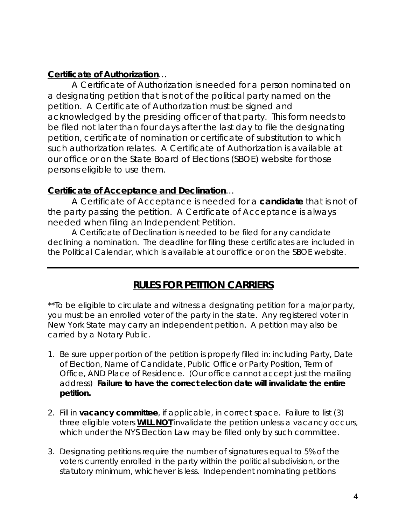#### **Certificate of Authorization**…

A Certificate of Authorization is needed for a person nominated on a designating petition that is not of the political party named on the petition. A Certificate of Authorization must be signed and acknowledged by the presiding officer of that party. This form needs to be filed not later than four days after the last day to file the designating petition, certificate of nomination or certificate of substitution to which such authorization relates. A Certificate of Authorization is available at our office or on the State Board of Elections (SBOE) website for those persons eligible to use them.

#### **Certificate of Acceptance and Declination**…

A Certificate of Acceptance is needed for a **candidate** that is not of the party passing the petition. A Certificate of Acceptance is always needed when filing an Independent Petition.

A Certificate of Declination is needed to be filed for any candidate declining a nomination. The deadline for filing these certificates are included in the Political Calendar, which is available at our office or on the SBOE website.

# **RULES FOR PETITION CARRIERS**

\*\*To be eligible to circulate and witness a designating petition for a major party, you must be an enrolled voter of the party in the state. Any registered voter in New York State may carry an independent petition. A petition may also be carried by a Notary Public.

- 1. Be sure upper portion of the petition is properly filled in: including Party, Date of Election, Name of Candidate, Public Office or Party Position, Term of Office, AND Place of Residence. (Our office cannot accept just the mailing address) **Failure to have the correct election date will invalidate the entire petition.**
- 2. Fill in **vacancy committee**, if applicable, in correct space. Failure to list (3) three eligible voters **WILL NOT** invalidate the petition unless a vacancy occurs, which under the NYS Election Law may be filled only by such committee.
- 3. Designating petitions require the number of signatures equal to 5% of the voters currently enrolled in the party within the political subdivision, or the statutory minimum, whichever is less. Independent nominating petitions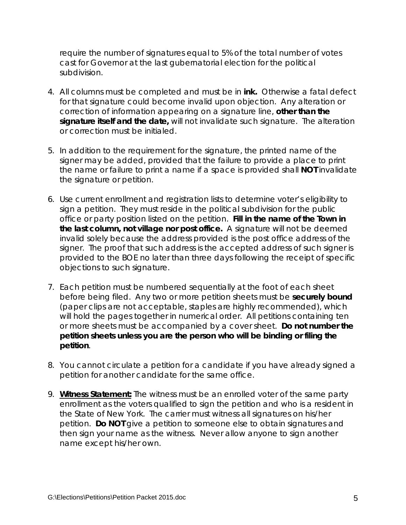require the number of signatures equal to 5% of the total number of votes cast for Governor at the last gubernatorial election for the political subdivision.

- 4. All columns must be completed and must be in **ink.** Otherwise a fatal defect for that signature could become invalid upon objection. Any alteration or correction of information appearing on a signature line, **other than the signature itself and the date,** will not invalidate such signature. The alteration or correction must be initialed.
- 5. In addition to the requirement for the signature, the printed name of the signer may be added, provided that the failure to provide a place to print the name or failure to print a name if a space is provided shall **NOT** invalidate the signature or petition.
- 6. Use current enrollment and registration lists to determine voter's eligibility to sign a petition. They must reside in the political subdivision for the public office or party position listed on the petition. **Fill in the name of the Town in the last column, not village nor post office.** A signature will not be deemed invalid solely because the address provided is the post office address of the signer. The proof that such address is the accepted address of such signer is provided to the BOE no later than three days following the receipt of specific objections to such signature.
- 7. Each petition must be numbered sequentially at the foot of each sheet before being filed. Any two or more petition sheets must be **securely bound** (paper clips are not acceptable, staples are highly recommended), which will hold the pages together in numerical order. All petitions containing ten or more sheets must be accompanied by a cover sheet. **Do not number the petition sheets unless you are the person who will be binding or filing the petition**.
- 8. You cannot circulate a petition for a candidate if you have already signed a petition for another candidate for the same office.
- 9. **Witness Statement:** The witness must be an enrolled voter of the same party enrollment as the voters qualified to sign the petition and who is a resident in the State of New York. The carrier must witness all signatures on his/her petition. **Do NOT** give a petition to someone else to obtain signatures and then sign your name as the witness. Never allow anyone to sign another name except his/her own.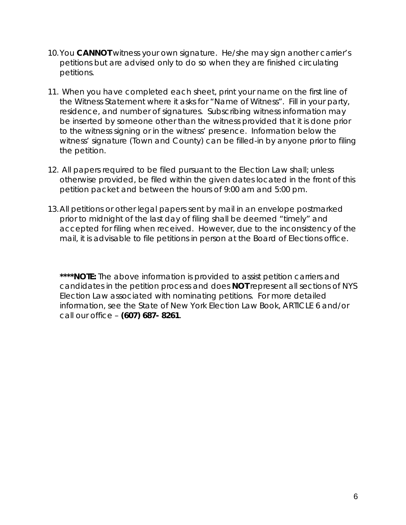- 10.You **CANNOT** witness your own signature. He/she may sign another carrier's petitions but are advised only to do so when they are finished circulating petitions.
- 11. When you have completed each sheet, print your name on the first line of the Witness Statement where it asks for "Name of Witness". Fill in your party, residence, and number of signatures. Subscribing witness information may be inserted by someone other than the witness provided that it is done prior to the witness signing or in the witness' presence. Information below the witness' signature (Town and County) can be filled-in by anyone prior to filing the petition.
- 12. All papers required to be filed pursuant to the Election Law shall; unless otherwise provided, be filed within the given dates located in the front of this petition packet and between the hours of 9:00 am and 5:00 pm.
- 13.All petitions or other legal papers sent by mail in an envelope postmarked prior to midnight of the last day of filing shall be deemed "timely" and accepted for filing when received. However, due to the inconsistency of the mail, it is advisable to file petitions in person at the Board of Elections office.

\*\*\*\***NOTE:** The above information is provided to assist petition carriers and candidates in the petition process and does **NOT** represent all sections of NYS Election Law associated with nominating petitions. For more detailed information, see the State of New York Election Law Book, ARTICLE 6 and/or call our office – **(607) 687- 8261**.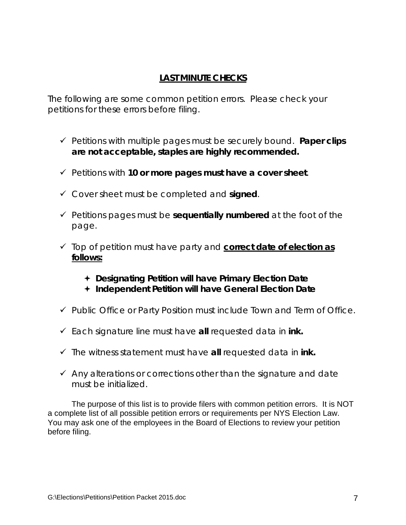# **LAST MINUTE CHECKS**

The following are some common petition errors. Please check your petitions for these errors before filing.

- Petitions with multiple pages must be securely bound. **Paper clips are not acceptable, staples are highly recommended.**
- Petitions with **10 or more pages must have a cover sheet**.
- Cover sheet must be completed and **signed**.
- $\checkmark$  Petitions pages must be **sequentially numbered** at the foot of the page.
- Top of petition must have party and **correct date of election as follows:**
	- **Designating Petition will have Primary Election Date**
	- **Independent Petition will have General Election Date**
- $\checkmark$  Public Office or Party Position must include Town and Term of Office.
- Each signature line must have **all** requested data in **ink.**
- $\checkmark$  The witness statement must have **all** requested data in **ink**.
- $\checkmark$  Any alterations or corrections other than the signature and date must be initialized.

The purpose of this list is to provide filers with common petition errors. It is NOT a complete list of all possible petition errors or requirements per NYS Election Law. You may ask one of the employees in the Board of Elections to review your petition before filing.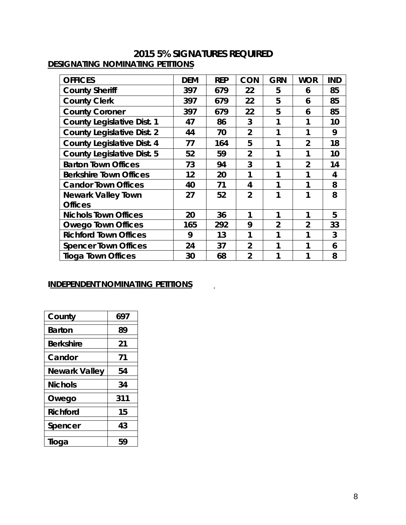## **2015 5% SIGNATURES REQUIRED** *DESIGNATING NOMINATING PETITIONS*

| <b>OFFICES</b>                    | <b>DEM</b> | <b>REP</b> | <b>CON</b>     | <b>GRN</b>     | <b>WOR</b>     | <b>IND</b> |
|-----------------------------------|------------|------------|----------------|----------------|----------------|------------|
| <b>County Sheriff</b>             | 397        | 679        | 22             | 5              | 6              | 85         |
| <b>County Clerk</b>               | 397        | 679        | 22             | 5              | 6              | 85         |
| <b>County Coroner</b>             | 397        | 679        | 22             | 5              | 6              | 85         |
| <b>County Legislative Dist. 1</b> | 47         | 86         | 3              | 1              |                | 10         |
| <b>County Legislative Dist. 2</b> | 44         | 70         | $\overline{2}$ | 1              |                | 9          |
| <b>County Legislative Dist. 4</b> | 77         | 164        | 5              | 1              | $\overline{2}$ | 18         |
| <b>County Legislative Dist. 5</b> | 52         | 59         | $\overline{2}$ | 1              | 1              | 10         |
| <b>Barton Town Offices</b>        | 73         | 94         | 3              | 1              | $\overline{2}$ | 14         |
| <b>Berkshire Town Offices</b>     | 12         | 20         | 1              | 1              | 1              | 4          |
| <b>Candor Town Offices</b>        | 40         | 71         | 4              | 1              | 1              | 8          |
| <b>Newark Valley Town</b>         | 27         | 52         | $\overline{2}$ | 1              | 1              | 8          |
| <b>Offices</b>                    |            |            |                |                |                |            |
| <b>Nichols Town Offices</b>       | 20         | 36         | 1              | 1              | 1              | 5          |
| <b>Owego Town Offices</b>         | 165        | 292        | 9              | $\overline{2}$ | $\overline{2}$ | 33         |
| <b>Richford Town Offices</b>      | 9          | 13         | 1              | 1              | 1              | 3          |
| <b>Spencer Town Offices</b>       | 24         | 37         | $\overline{2}$ | 1              | 1              | 6          |
| <b>Tioga Town Offices</b>         | 30         | 68         | $\overline{2}$ | 1              |                | 8          |

 $\sim$   $\sim$ 

#### *INDEPENDENT NOMINATING PETITIONS*

| County               | 697 |
|----------------------|-----|
| <b>Barton</b>        | 89  |
| <b>Berkshire</b>     | 21  |
| Candor               | 71  |
| <b>Newark Valley</b> | 54  |
| <b>Nichols</b>       | 34  |
| Owego                | 311 |
| <b>Richford</b>      | 15  |
| Spencer              | 43  |
| Tioga                | 59  |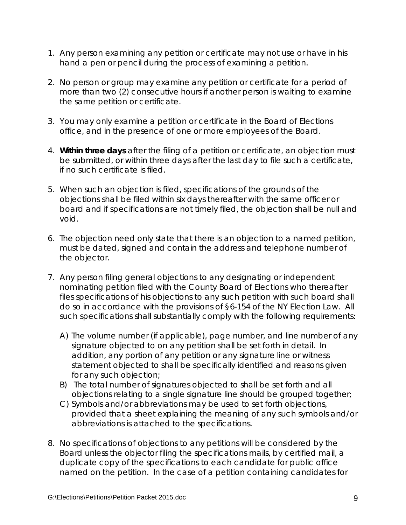- 1. Any person examining any petition or certificate may not use or have in his hand a pen or pencil during the process of examining a petition.
- 2. No person or group may examine any petition or certificate for a period of more than two (2) consecutive hours if another person is waiting to examine the same petition or certificate.
- 3. You may only examine a petition or certificate in the Board of Elections office, and in the presence of one or more employees of the Board.
- 4. **Within three days** after the filing of a petition or certificate, an objection must be submitted, or within three days after the last day to file such a certificate, if no such certificate is filed.
- 5. When such an objection is filed, specifications of the grounds of the objections shall be filed within six days thereafter with the same officer or board and if specifications are not timely filed, the objection shall be null and void.
- 6. The objection need only state that there is an objection to a named petition, must be dated, signed and contain the address and telephone number of the objector.
- 7. Any person filing general objections to any designating or independent nominating petition filed with the County Board of Elections who thereafter files specifications of his objections to any such petition with such board shall do so in accordance with the provisions of §6-154 of the NY Election Law. All such specifications shall substantially comply with the following requirements:
	- A) The volume number (if applicable), page number, and line number of any signature objected to on any petition shall be set forth in detail. In addition, any portion of any petition or any signature line or witness statement objected to shall be specifically identified and reasons given for any such objection;
	- B) The total number of signatures objected to shall be set forth and all objections relating to a single signature line should be grouped together;
	- C) Symbols and/or abbreviations may be used to set forth objections, provided that a sheet explaining the meaning of any such symbols and/or abbreviations is attached to the specifications.
- 8. No specifications of objections to any petitions will be considered by the Board unless the objector filing the specifications mails, by certified mail, a duplicate copy of the specifications to each candidate for public office named on the petition. In the case of a petition containing candidates for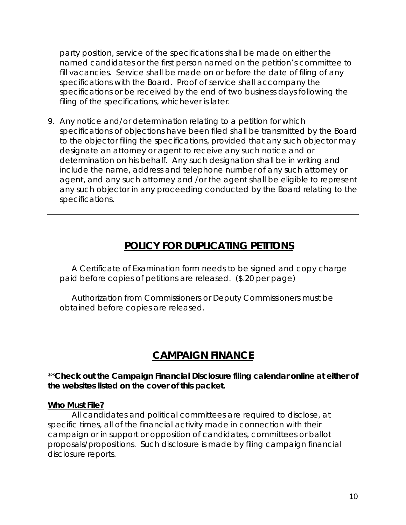party position, service of the specifications shall be made on either the named candidates or the first person named on the petition's committee to fill vacancies. Service shall be made on or before the date of filing of any specifications with the Board. Proof of service shall accompany the specifications or be received by the end of two business days following the filing of the specifications, whichever is later.

9. Any notice and/or determination relating to a petition for which specifications of objections have been filed shall be transmitted by the Board to the objector filing the specifications, provided that any such objector may designate an attorney or agent to receive any such notice and or determination on his behalf. Any such designation shall be in writing and include the name, address and telephone number of any such attorney or agent, and any such attorney and /or the agent shall be eligible to represent any such objector in any proceeding conducted by the Board relating to the specifications.

# **POLICY FOR DUPLICATING PETITONS**

A Certificate of Examination form needs to be signed and copy charge paid before copies of petitions are released. (\$.20 per page)

Authorization from Commissioners or Deputy Commissioners must be obtained before copies are released.

# **CAMPAIGN FINANCE**

\*\***Check out the Campaign Financial Disclosure filing calendar online at either of the websites listed on the cover of this packet.**

#### **Who Must File?**

All candidates and political committees are required to disclose, at specific times, all of the financial activity made in connection with their campaign or in support or opposition of candidates, committees or ballot proposals/propositions. Such disclosure is made by filing campaign financial disclosure reports.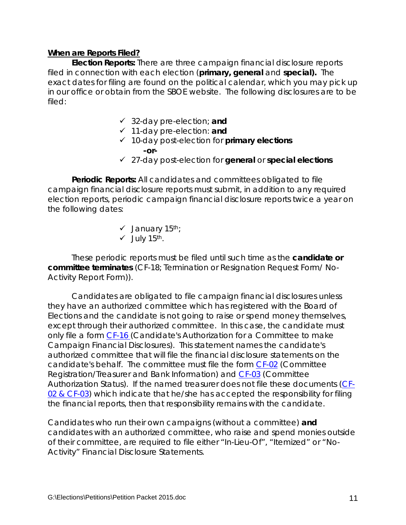#### **When are Reports Filed?**

**Election Reports:** There are three campaign financial disclosure reports filed in connection with each election (**primary, general** and **special).** The exact dates for filing are found on the political calendar, which you may pick up in our office or obtain from the SBOE website. The following disclosures are to be filed:

- 32-day pre-election; **and**
- 11-day pre-election: **and**
- 10-day post-election for *primary elections* **-or-**
- 27-day post-election for *general* or *special elections*

**Periodic Reports:** All candidates and committees obligated to file campaign financial disclosure reports must submit, in addition to any required election reports, periodic campaign financial disclosure reports twice a year on the following dates:

- $\checkmark$  January 15<sup>th</sup>;
- $\checkmark$  July 15<sup>th</sup>.

These periodic reports must be filed until such time as the *candidate or committee terminates* (CF-18; *Termination or Resignation Request Form/ No-Activity Report Form)).*

Candidates are obligated to file campaign financial disclosures unless they have an authorized committee which has registered with the Board of Elections and the candidate is not going to raise or spend money themselves, except through their authorized committee. In this case, the candidate must only file a form [CF-16 \(](http://www.elections.state.ny.us/CFForms.html)Candidate's Authorization for a Committee to make Campaign Financial Disclosures). This statement names the candidate's authorized committee that will file the financial disclosure statements on the candidate's behalf. The committee must file the form [CF-02](http://www.elections.state.ny.us/CFForms.html) (Committee Registration/Treasurer and Bank Information) and [CF-03](http://www.elections.state.ny.us/CFForms.html) (Committee Authorization Status). If the named treasurer does not file these documents [\(CF-](http://www.elections.state.ny.us/CFForms.html)[02 & CF-03\)](http://www.elections.state.ny.us/CFForms.html) which indicate that he/she has accepted the responsibility for filing the financial reports, then that responsibility remains with the candidate.

Candidates who run their own campaigns (without a committee) **and** candidates with an authorized committee, who raise and spend monies outside of their committee, are required to file either "In-Lieu-Of", "Itemized" or "No-Activity" Financial Disclosure Statements.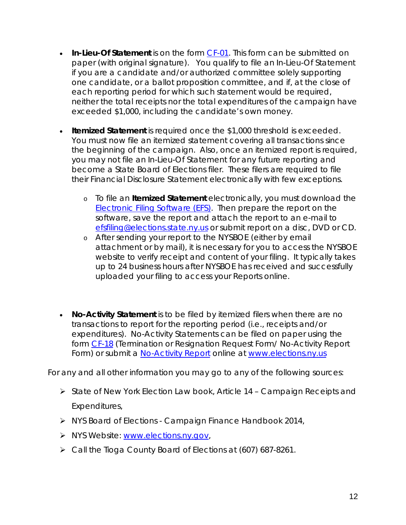- **In-Lieu-Of Statement** is on the form [CF-01.](http://www.elections.state.ny.us/CFForms.html) This form can be submitted on paper (with original signature). You qualify to file an In-Lieu-Of Statement if you are a candidate and/or authorized committee solely supporting one candidate, or a ballot proposition committee, and if, at the close of each reporting period for which such statement would be required, neither the total receipts nor the total expenditures of the campaign have exceeded \$1,000, including the candidate's own money.
- **Itemized Statement** is required once the \$1,000 threshold is exceeded. You must now file an itemized statement covering all transactions since the beginning of the campaign. Also, once an itemized report is required, you may not file an In-Lieu-Of Statement for any future reporting and become a State Board of Elections filer. These filers are required to file their Financial Disclosure Statement electronically with few exceptions.
	- o To file an **Itemized Statement** electronically, you must download the [Electronic Filing Software \(EFS\).](http://www.elections.state.ny.us/CFDownloads.html) Then prepare the report on the software, save the report and attach the report to an e-mail to [efsfiling@elections.state.ny.us](mailto:efsfiling@elections.state.ny.us) or submit report on a disc, DVD or CD.
	- o After sending your report to the NYSBOE (either by email attachment or by mail), it is necessary for you to access the NYSBOE website to verify receipt and content of your filing. It typically takes up to 24 business hours after NYSBOE has received and successfully uploaded your filing to access your Reports online.
- **No-Activity Statement** is to be filed by itemized filers when there are no transactions to report for the reporting period (i.e., receipts and/or expenditures). No-Activity Statements can be filed on paper using the form [CF-18](http://www.elections.state.ny.us/CFForms.html) (Termination or Resignation Request Form/ No-Activity Report Form) or submit a [No-Activity](http://www.elections.state.ny.us/CFFilingOptions.html#ILOF) Report online at [www.elections.ny.us](http://www.elections.ny.us/)

For any and all other information you may go to any of the following sources:

- State of New York Election Law book, Article 14 Campaign Receipts and Expenditures,
- > NYS Board of Elections Campaign Finance Handbook 2014,
- > NYS Website: [www.elections.ny.gov,](http://www.elections.ny.gov/)
- Call the Tioga County Board of Elections at (607) 687-8261.